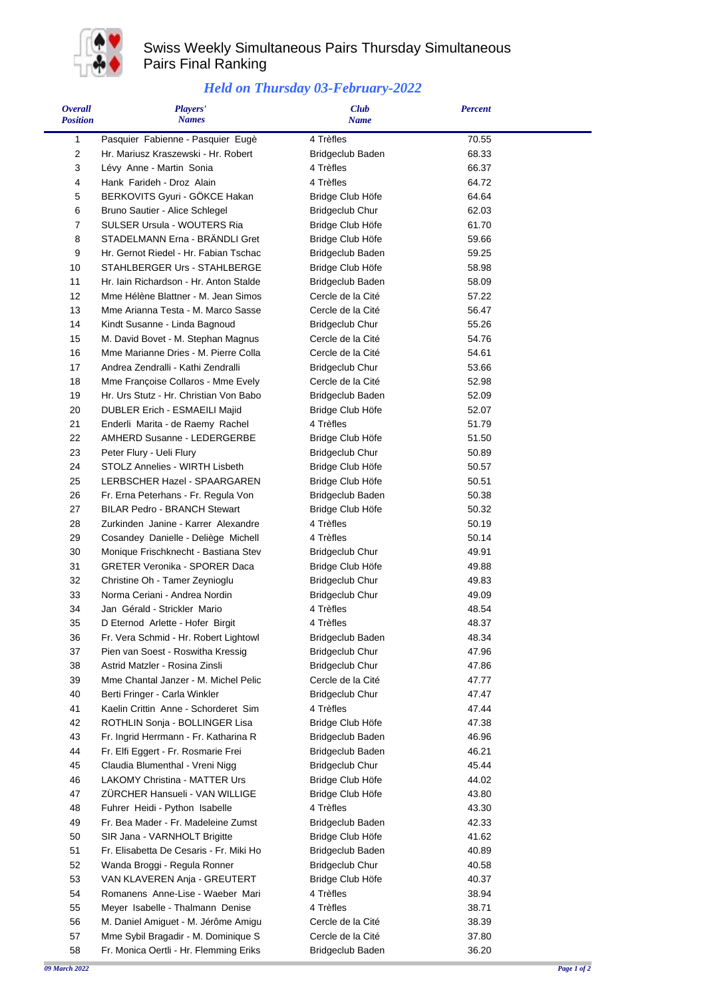

## Swiss Weekly Simultaneous Pairs Thursday Simultaneous Pairs Final Ranking

## *Held on Thursday 03-February-2022*

| <b>Overall</b><br><b>Position</b> | Players'<br><b>Names</b>                                                 | <b>Club</b><br><b>Name</b>                  | <b>Percent</b> |  |
|-----------------------------------|--------------------------------------------------------------------------|---------------------------------------------|----------------|--|
|                                   |                                                                          |                                             |                |  |
| 1<br>$\overline{c}$               | Pasquier Fabienne - Pasquier Eugè<br>Hr. Mariusz Kraszewski - Hr. Robert | 4 Trèfles                                   | 70.55<br>68.33 |  |
| 3                                 | Lévy Anne - Martin Sonia                                                 | <b>Bridgeclub Baden</b><br>4 Trèfles        | 66.37          |  |
| 4                                 | Hank Farideh - Droz Alain                                                | 4 Trèfles                                   | 64.72          |  |
| 5                                 | BERKOVITS Gyuri - GÖKCE Hakan                                            | Bridge Club Höfe                            | 64.64          |  |
| 6                                 | Bruno Sautier - Alice Schlegel                                           | <b>Bridgeclub Chur</b>                      | 62.03          |  |
| 7                                 | SULSER Ursula - WOUTERS Ria                                              | Bridge Club Höfe                            | 61.70          |  |
| 8                                 | STADELMANN Erna - BRÄNDLI Gret                                           | Bridge Club Höfe                            | 59.66          |  |
| 9                                 | Hr. Gernot Riedel - Hr. Fabian Tschac                                    | Bridgeclub Baden                            | 59.25          |  |
| 10                                | STAHLBERGER Urs - STAHLBERGE                                             | Bridge Club Höfe                            | 58.98          |  |
| 11                                | Hr. Iain Richardson - Hr. Anton Stalde                                   | Bridgeclub Baden                            | 58.09          |  |
| 12                                | Mme Hélène Blattner - M. Jean Simos                                      | Cercle de la Cité                           | 57.22          |  |
| 13                                | Mme Arianna Testa - M. Marco Sasse                                       | Cercle de la Cité                           | 56.47          |  |
| 14                                | Kindt Susanne - Linda Bagnoud                                            | <b>Bridgeclub Chur</b>                      | 55.26          |  |
| 15                                | M. David Bovet - M. Stephan Magnus                                       | Cercle de la Cité                           | 54.76          |  |
| 16                                | Mme Marianne Dries - M. Pierre Colla                                     | Cercle de la Cité                           | 54.61          |  |
| 17                                | Andrea Zendralli - Kathi Zendralli                                       | <b>Bridgeclub Chur</b>                      | 53.66          |  |
| 18                                | Mme Françoise Collaros - Mme Evely                                       | Cercle de la Cité                           | 52.98          |  |
| 19                                | Hr. Urs Stutz - Hr. Christian Von Babo                                   | Bridgeclub Baden                            | 52.09          |  |
| 20<br>21                          | DUBLER Erich - ESMAEILI Majid                                            | Bridge Club Höfe<br>4 Trèfles               | 52.07<br>51.79 |  |
| 22                                | Enderli Marita - de Raemy Rachel<br>AMHERD Susanne - LEDERGERBE          | Bridge Club Höfe                            | 51.50          |  |
| 23                                | Peter Flury - Ueli Flury                                                 | <b>Bridgeclub Chur</b>                      | 50.89          |  |
| 24                                | STOLZ Annelies - WIRTH Lisbeth                                           | Bridge Club Höfe                            | 50.57          |  |
| 25                                | LERBSCHER Hazel - SPAARGAREN                                             | Bridge Club Höfe                            | 50.51          |  |
| 26                                | Fr. Erna Peterhans - Fr. Regula Von                                      | Bridgeclub Baden                            | 50.38          |  |
| 27                                | <b>BILAR Pedro - BRANCH Stewart</b>                                      | Bridge Club Höfe                            | 50.32          |  |
| 28                                | Zurkinden Janine - Karrer Alexandre                                      | 4 Trèfles                                   | 50.19          |  |
| 29                                | Cosandey Danielle - Deliège Michell                                      | 4 Trèfles                                   | 50.14          |  |
| 30                                | Monique Frischknecht - Bastiana Stev                                     | <b>Bridgeclub Chur</b>                      | 49.91          |  |
| 31                                | <b>GRETER Veronika - SPORER Daca</b>                                     | Bridge Club Höfe                            | 49.88          |  |
| 32                                | Christine Oh - Tamer Zeynioglu                                           | <b>Bridgeclub Chur</b>                      | 49.83          |  |
| 33                                | Norma Ceriani - Andrea Nordin                                            | <b>Bridgeclub Chur</b>                      | 49.09          |  |
| 34                                | Jan Gérald - Strickler Mario                                             | 4 Trèfles                                   | 48.54          |  |
| 35                                | D Eternod Arlette - Hofer Birgit                                         | 4 Trèfles                                   | 48.37          |  |
| 36                                | Fr. Vera Schmid - Hr. Robert Lightowl                                    | Bridgeclub Baden                            | 48.34          |  |
| 37                                | Pien van Soest - Roswitha Kressig                                        | <b>Bridgeclub Chur</b>                      | 47.96          |  |
| 38                                | Astrid Matzler - Rosina Zinsli                                           | <b>Bridgeclub Chur</b>                      | 47.86          |  |
| 39<br>40                          | Mme Chantal Janzer - M. Michel Pelic<br>Berti Fringer - Carla Winkler    | Cercle de la Cité<br><b>Bridgeclub Chur</b> | 47.77<br>47.47 |  |
| 41                                | Kaelin Crittin Anne - Schorderet Sim                                     | 4 Trèfles                                   | 47.44          |  |
| 42                                | ROTHLIN Sonja - BOLLINGER Lisa                                           | Bridge Club Höfe                            | 47.38          |  |
| 43                                | Fr. Ingrid Herrmann - Fr. Katharina R                                    | Bridgeclub Baden                            | 46.96          |  |
| 44                                | Fr. Elfi Eggert - Fr. Rosmarie Frei                                      | Bridgeclub Baden                            | 46.21          |  |
| 45                                | Claudia Blumenthal - Vreni Nigg                                          | <b>Bridgeclub Chur</b>                      | 45.44          |  |
| 46                                | LAKOMY Christina - MATTER Urs                                            | Bridge Club Höfe                            | 44.02          |  |
| 47                                | ZÜRCHER Hansueli - VAN WILLIGE                                           | Bridge Club Höfe                            | 43.80          |  |
| 48                                | Fuhrer Heidi - Python Isabelle                                           | 4 Trèfles                                   | 43.30          |  |
| 49                                | Fr. Bea Mader - Fr. Madeleine Zumst                                      | Bridgeclub Baden                            | 42.33          |  |
| 50                                | SIR Jana - VARNHOLT Brigitte                                             | Bridge Club Höfe                            | 41.62          |  |
| 51                                | Fr. Elisabetta De Cesaris - Fr. Miki Ho                                  | Bridgeclub Baden                            | 40.89          |  |
| 52                                | Wanda Broggi - Regula Ronner                                             | <b>Bridgeclub Chur</b>                      | 40.58          |  |
| 53                                | VAN KLAVEREN Anja - GREUTERT                                             | Bridge Club Höfe                            | 40.37          |  |
| 54                                | Romanens Anne-Lise - Waeber Mari                                         | 4 Trèfles                                   | 38.94          |  |
| 55                                | Meyer Isabelle - Thalmann Denise                                         | 4 Trèfles                                   | 38.71          |  |
| 56                                | M. Daniel Amiguet - M. Jérôme Amigu                                      | Cercle de la Cité                           | 38.39          |  |
| 57                                | Mme Sybil Bragadir - M. Dominique S                                      | Cercle de la Cité                           | 37.80          |  |
| 58                                | Fr. Monica Oertli - Hr. Flemming Eriks                                   | Bridgeclub Baden                            | 36.20          |  |